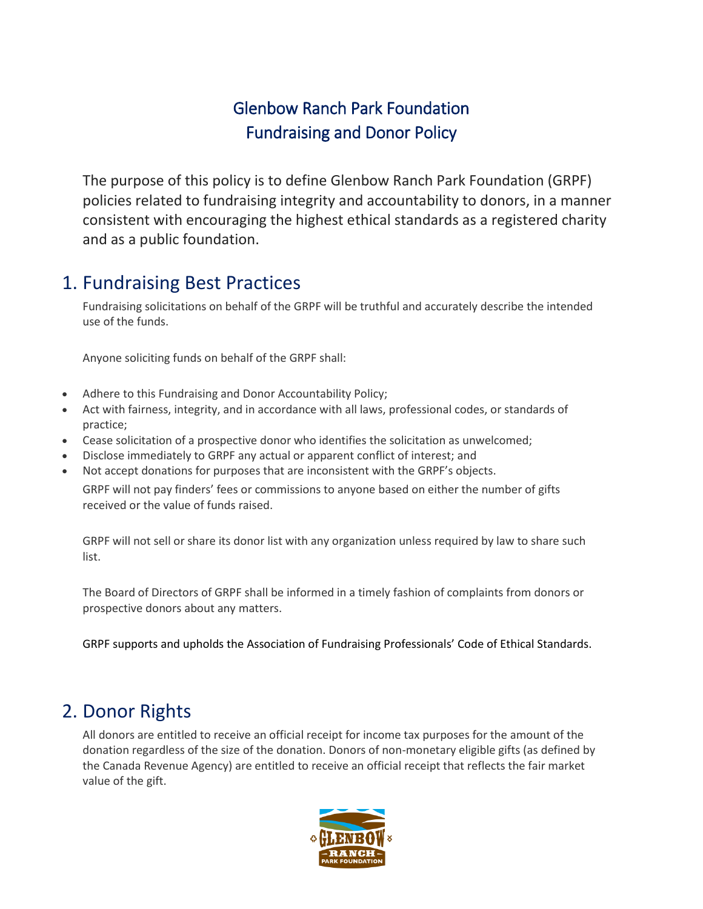## Glenbow Ranch Park Foundation Fundraising and Donor Policy

The purpose of this policy is to define Glenbow Ranch Park Foundation (GRPF) policies related to fundraising integrity and accountability to donors, in a manner consistent with encouraging the highest ethical standards as a registered charity and as a public foundation.

## 1. Fundraising Best Practices

Fundraising solicitations on behalf of the GRPF will be truthful and accurately describe the intended use of the funds.

Anyone soliciting funds on behalf of the GRPF shall:

- Adhere to this Fundraising and Donor Accountability Policy;
- Act with fairness, integrity, and in accordance with all laws, professional codes, or standards of practice;
- Cease solicitation of a prospective donor who identifies the solicitation as unwelcomed;
- Disclose immediately to GRPF any actual or apparent conflict of interest; and
- Not accept donations for purposes that are inconsistent with the GRPF's objects.

GRPF will not pay finders' fees or commissions to anyone based on either the number of gifts received or the value of funds raised.

GRPF will not sell or share its donor list with any organization unless required by law to share such list.

The Board of Directors of GRPF shall be informed in a timely fashion of complaints from donors or prospective donors about any matters.

GRPF supports and upholds the Association of Fundraising Professionals' Code of Ethical Standards.

## 2. Donor Rights

All donors are entitled to receive an official receipt for income tax purposes for the amount of the donation regardless of the size of the donation. Donors of non-monetary eligible gifts (as defined by the Canada Revenue Agency) are entitled to receive an official receipt that reflects the fair market value of the gift.

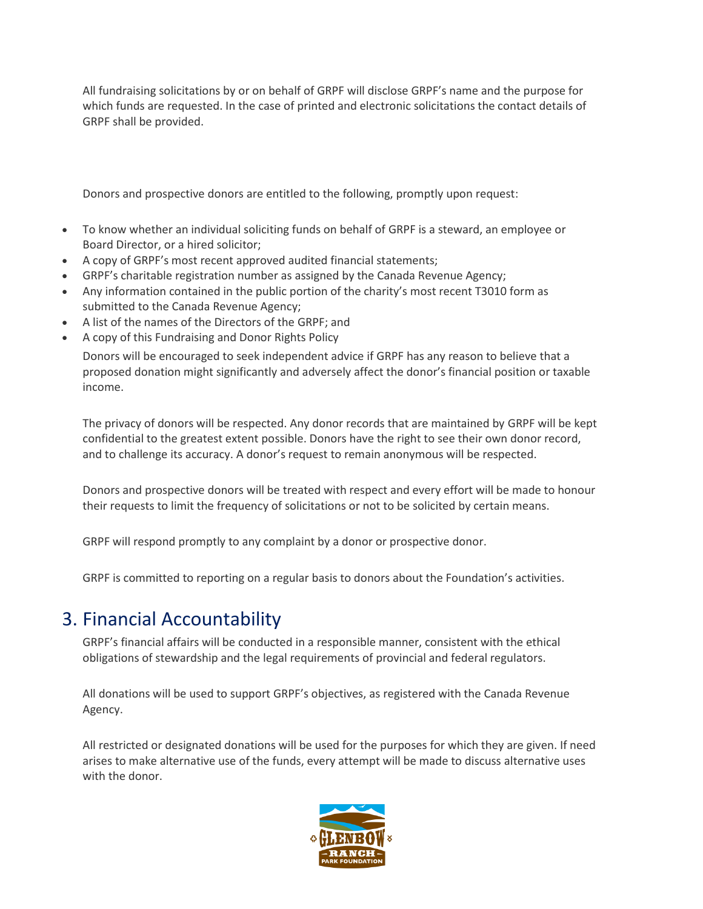All fundraising solicitations by or on behalf of GRPF will disclose GRPF's name and the purpose for which funds are requested. In the case of printed and electronic solicitations the contact details of GRPF shall be provided.

Donors and prospective donors are entitled to the following, promptly upon request:

- To know whether an individual soliciting funds on behalf of GRPF is a steward, an employee or Board Director, or a hired solicitor;
- A copy of GRPF's most recent approved audited financial statements;
- GRPF's charitable registration number as assigned by the Canada Revenue Agency;
- Any information contained in the public portion of the charity's most recent T3010 form as submitted to the Canada Revenue Agency;
- A list of the names of the Directors of the GRPF; and
- A copy of this Fundraising and Donor Rights Policy

Donors will be encouraged to seek independent advice if GRPF has any reason to believe that a proposed donation might significantly and adversely affect the donor's financial position or taxable income.

The privacy of donors will be respected. Any donor records that are maintained by GRPF will be kept confidential to the greatest extent possible. Donors have the right to see their own donor record, and to challenge its accuracy. A donor's request to remain anonymous will be respected.

Donors and prospective donors will be treated with respect and every effort will be made to honour their requests to limit the frequency of solicitations or not to be solicited by certain means.

GRPF will respond promptly to any complaint by a donor or prospective donor.

GRPF is committed to reporting on a regular basis to donors about the Foundation's activities.

## 3. Financial Accountability

GRPF's financial affairs will be conducted in a responsible manner, consistent with the ethical obligations of stewardship and the legal requirements of provincial and federal regulators.

All donations will be used to support GRPF's objectives, as registered with the Canada Revenue Agency.

All restricted or designated donations will be used for the purposes for which they are given. If need arises to make alternative use of the funds, every attempt will be made to discuss alternative uses with the donor.